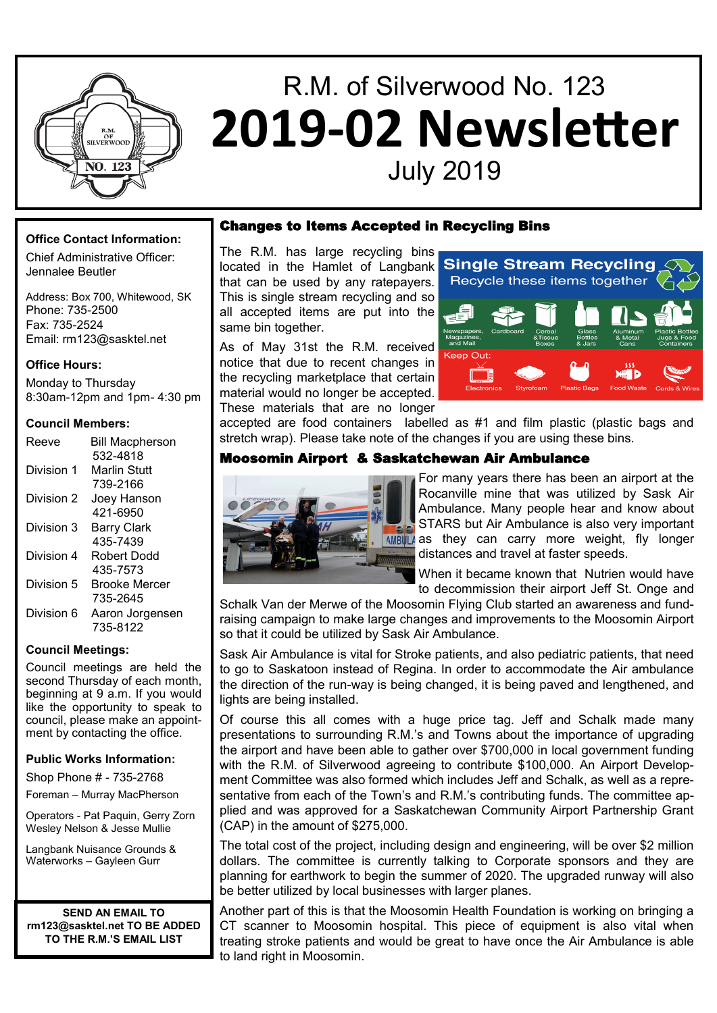

# R.M. of Silverwood No. 123 **2019-02 Newsletter** July 2019

## **Office Contact Information:**

Chief Administrative Officer: Jennalee Beutler

Address: Box 700, Whitewood, SK Phone: 735-2500 Fax: 735-2524 Email: rm123@sasktel.net

#### **Office Hours:**

Monday to Thursday 8:30am-12pm and 1pm- 4:30 pm

#### **Council Members:**

| Reeve      | <b>Bill Macpherson</b> |
|------------|------------------------|
|            | 532-4818               |
| Division 1 | Marlin Stuff           |
|            | 739-2166               |
| Division 2 | Joey Hanson            |
|            | 421-6950               |
| Division 3 | <b>Barry Clark</b>     |
|            | 435-7439               |
| Division 4 | Robert Dodd            |
|            | 435-7573               |
| Division 5 | Brooke Mercer          |
|            | 735-2645               |
| Division 6 | Aaron Jorgensen        |
|            | 735-8122               |

#### **Council Meetings:**

Council meetings are held the second Thursday of each month, beginning at 9 a.m. If you would like the opportunity to speak to council, please make an appointment by contacting the office.

#### **Public Works Information:**

Shop Phone # - 735-2768

Foreman – Murray MacPherson

Operators - Pat Paquin, Gerry Zorn Wesley Nelson & Jesse Mullie

Langbank Nuisance Grounds & Waterworks – Gayleen Gurr

**SEND AN EMAIL TO rm123@sasktel.net TO BE ADDED TO THE R.M.'S EMAIL LIST**

#### Changes to Items Accepted in Recycling Bins

The R.M. has large recycling bins located in the Hamlet of Langbank that can be used by any ratepayers. This is single stream recycling and so all accepted items are put into the same bin together.

As of May 31st the R.M. received notice that due to recent changes in the recycling marketplace that certain material would no longer be accepted. These materials that are no longer



accepted are food containers labelled as #1 and film plastic (plastic bags and stretch wrap). Please take note of the changes if you are using these bins.

## Moosomin Airport & Saskatchewan Air Ambulance



For many years there has been an airport at the Rocanville mine that was utilized by Sask Air Ambulance. Many people hear and know about STARS but Air Ambulance is also very important  $A$ well as they can carry more weight, fly longer distances and travel at faster speeds.

When it became known that Nutrien would have to decommission their airport Jeff St. Onge and

Schalk Van der Merwe of the Moosomin Flying Club started an awareness and fundraising campaign to make large changes and improvements to the Moosomin Airport so that it could be utilized by Sask Air Ambulance.

Sask Air Ambulance is vital for Stroke patients, and also pediatric patients, that need to go to Saskatoon instead of Regina. In order to accommodate the Air ambulance the direction of the run-way is being changed, it is being paved and lengthened, and lights are being installed.

Of course this all comes with a huge price tag. Jeff and Schalk made many presentations to surrounding R.M.'s and Towns about the importance of upgrading the airport and have been able to gather over \$700,000 in local government funding with the R.M. of Silverwood agreeing to contribute \$100,000. An Airport Development Committee was also formed which includes Jeff and Schalk, as well as a representative from each of the Town's and R.M.'s contributing funds. The committee applied and was approved for a Saskatchewan Community Airport Partnership Grant (CAP) in the amount of \$275,000.

The total cost of the project, including design and engineering, will be over \$2 million dollars. The committee is currently talking to Corporate sponsors and they are planning for earthwork to begin the summer of 2020. The upgraded runway will also be better utilized by local businesses with larger planes.

Another part of this is that the Moosomin Health Foundation is working on bringing a CT scanner to Moosomin hospital. This piece of equipment is also vital when treating stroke patients and would be great to have once the Air Ambulance is able to land right in Moosomin.